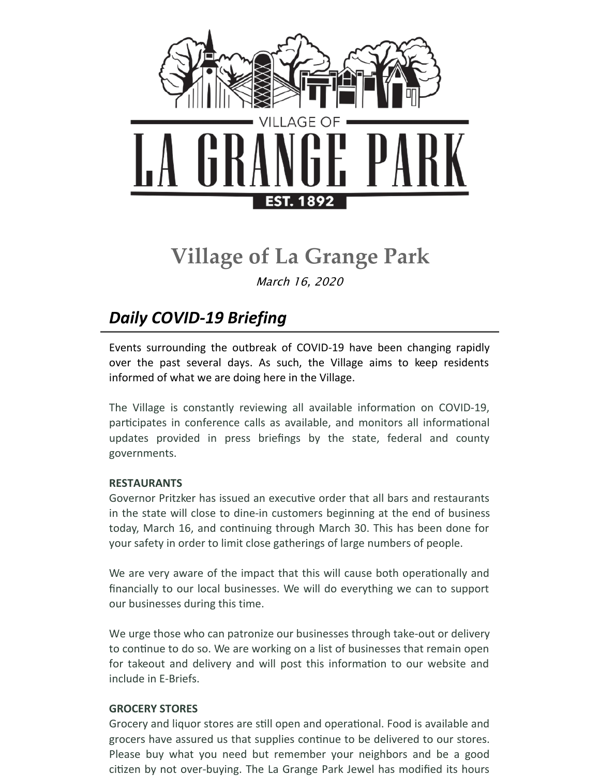

# **Village of La Grange Park**

March 16, 2020

## *Daily COVID-19 Briefing*

Events surrounding the outbreak of COVID-19 have been changing rapidly over the past several days. As such, the Village aims to keep residents informed of what we are doing here in the Village.

The Village is constantly reviewing all available information on COVID-19, participates in conference calls as available, and monitors all informational updates provided in press briefings by the state, federal and county governments.

#### **RESTAURANTS**

Governor Pritzker has issued an executive order that all bars and restaurants in the state will close to dine-in customers beginning at the end of business today, March 16, and continuing through March 30. This has been done for your safety in order to limit close gatherings of large numbers of people.

We are very aware of the impact that this will cause both operationally and financially to our local businesses. We will do everything we can to support our businesses during this time.

We urge those who can patronize our businesses through take-out or delivery to continue to do so. We are working on a list of businesses that remain open for takeout and delivery and will post this information to our website and include in E-Briefs.

#### **GROCERY STORES**

Grocery and liquor stores are still open and operational. Food is available and grocers have assured us that supplies continue to be delivered to our stores. Please buy what you need but remember your neighbors and be a good citizen by not over-buying. The La Grange Park Jewel has modified its hours